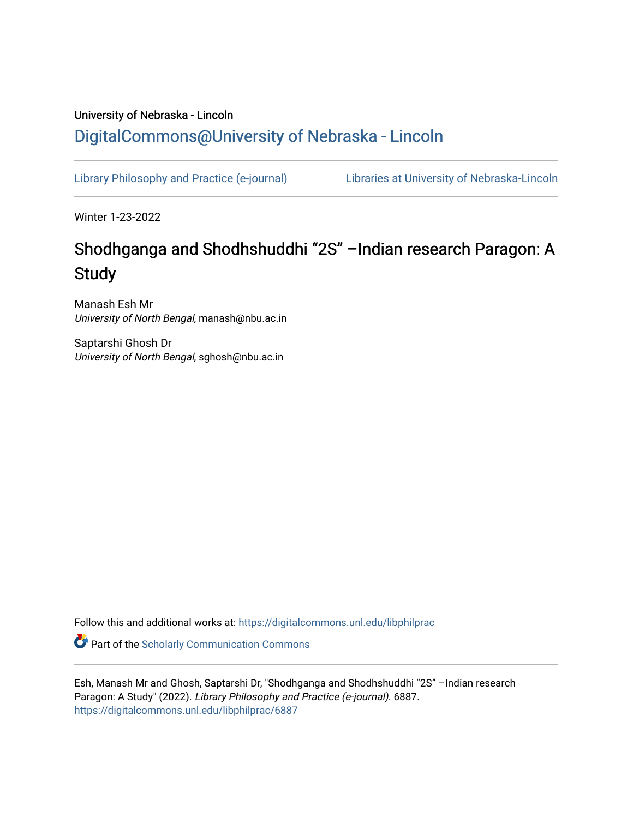# University of Nebraska - Lincoln [DigitalCommons@University of Nebraska - Lincoln](https://digitalcommons.unl.edu/)

[Library Philosophy and Practice \(e-journal\)](https://digitalcommons.unl.edu/libphilprac) [Libraries at University of Nebraska-Lincoln](https://digitalcommons.unl.edu/libraries) 

Winter 1-23-2022

# Shodhganga and Shodhshuddhi "2S" –Indian research Paragon: A **Study**

Manash Esh Mr University of North Bengal, manash@nbu.ac.in

Saptarshi Ghosh Dr University of North Bengal, sghosh@nbu.ac.in

Follow this and additional works at: [https://digitalcommons.unl.edu/libphilprac](https://digitalcommons.unl.edu/libphilprac?utm_source=digitalcommons.unl.edu%2Flibphilprac%2F6887&utm_medium=PDF&utm_campaign=PDFCoverPages) 

**C** Part of the Scholarly Communication Commons

Esh, Manash Mr and Ghosh, Saptarshi Dr, "Shodhganga and Shodhshuddhi "2S" –Indian research Paragon: A Study" (2022). Library Philosophy and Practice (e-journal). 6887. [https://digitalcommons.unl.edu/libphilprac/6887](https://digitalcommons.unl.edu/libphilprac/6887?utm_source=digitalcommons.unl.edu%2Flibphilprac%2F6887&utm_medium=PDF&utm_campaign=PDFCoverPages)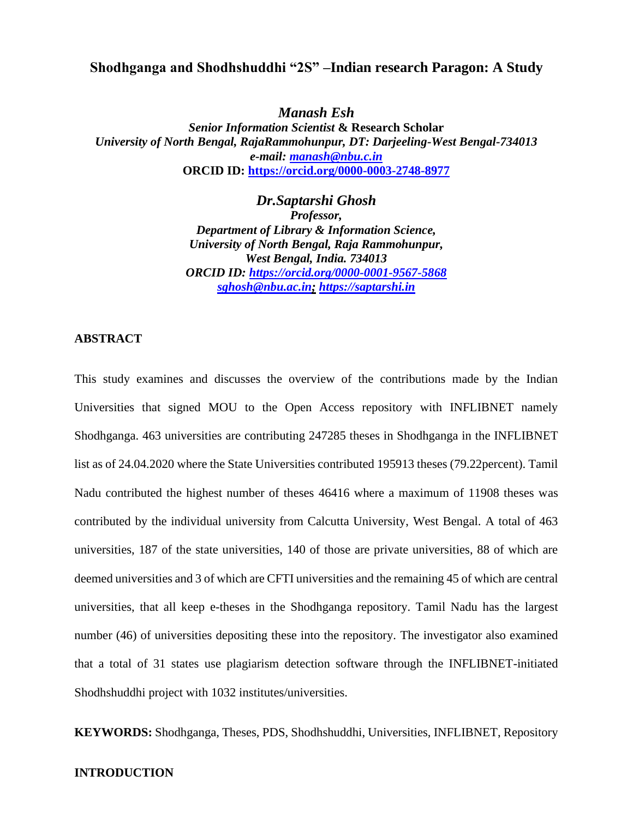# **Shodhganga and Shodhshuddhi "2S" –Indian research Paragon: A Study**

*Manash Esh*

*Senior Information Scientist* **& Research Scholar** *University of North Bengal, RajaRammohunpur, DT: Darjeeling-West Bengal-734013 e-mail: [manash@nbu.c.in](mailto:manash@nbu.c.in)* **ORCID ID:<https://orcid.org/0000-0003-2748-8977>**

> *Dr.Saptarshi Ghosh Professor, Department of Library & Information Science, University of North Bengal, Raja Rammohunpur, West Bengal, India. 734013 ORCID ID:<https://orcid.org/0000-0001-9567-5868> sghosh@nbu.ac.in; [https://saptarshi.in](https://saptarshi.in/)*

#### **ABSTRACT**

This study examines and discusses the overview of the contributions made by the Indian Universities that signed MOU to the Open Access repository with INFLIBNET namely Shodhganga. 463 universities are contributing 247285 theses in Shodhganga in the INFLIBNET list as of 24.04.2020 where the State Universities contributed 195913 theses (79.22percent). Tamil Nadu contributed the highest number of theses 46416 where a maximum of 11908 theses was contributed by the individual university from Calcutta University, West Bengal. A total of 463 universities, 187 of the state universities, 140 of those are private universities, 88 of which are deemed universities and 3 of which are CFTI universities and the remaining 45 of which are central universities, that all keep e-theses in the Shodhganga repository. Tamil Nadu has the largest number (46) of universities depositing these into the repository. The investigator also examined that a total of 31 states use plagiarism detection software through the INFLIBNET-initiated Shodhshuddhi project with 1032 institutes/universities.

**KEYWORDS:** Shodhganga, Theses, PDS, Shodhshuddhi, Universities, INFLIBNET, Repository

#### **INTRODUCTION**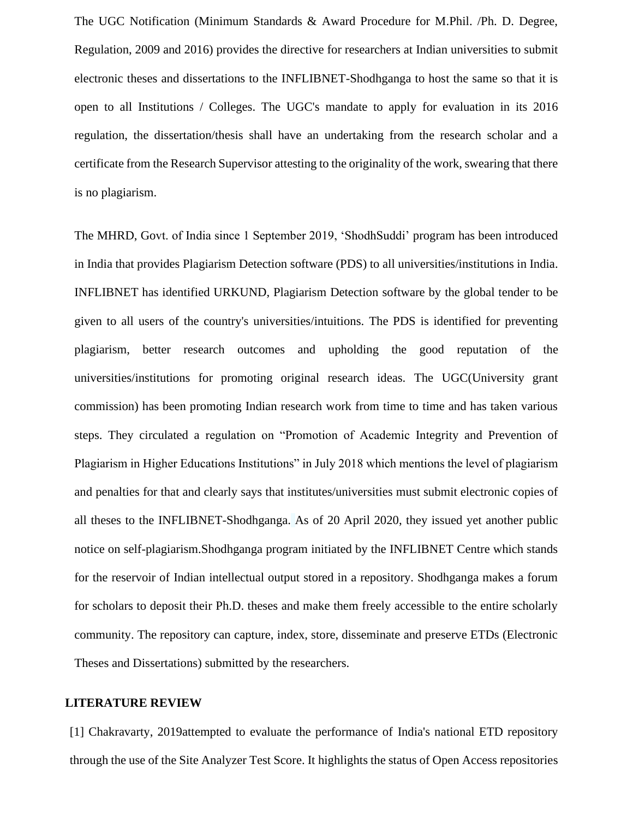The UGC Notification (Minimum Standards & Award Procedure for M.Phil. /Ph. D. Degree, Regulation, 2009 and 2016) provides the directive for researchers at Indian universities to submit electronic theses and dissertations to the INFLIBNET-Shodhganga to host the same so that it is open to all Institutions / Colleges. The UGC's mandate to apply for evaluation in its 2016 regulation, the dissertation/thesis shall have an undertaking from the research scholar and a certificate from the Research Supervisor attesting to the originality of the work, swearing that there is no plagiarism.

The MHRD, Govt. of India since 1 September 2019, 'ShodhSuddi' program has been introduced in India that provides Plagiarism Detection software (PDS) to all universities/institutions in India. INFLIBNET has identified URKUND, Plagiarism Detection software by the global tender to be given to all users of the country's universities/intuitions. The PDS is identified for preventing plagiarism, better research outcomes and upholding the good reputation of the universities/institutions for promoting original research ideas. The UGC(University grant commission) has been promoting Indian research work from time to time and has taken various steps. They circulated a regulation on "Promotion of Academic Integrity and Prevention of Plagiarism in Higher Educations Institutions" in July 2018 which mentions the level of plagiarism and penalties for that and clearly says that institutes/universities must submit electronic copies of all theses to the INFLIBNET-Shodhganga. As of 20 April 2020, they issued yet another public notice on self-plagiarism.Shodhganga program initiated by the INFLIBNET Centre which stands for the reservoir of Indian intellectual output stored in a repository. Shodhganga makes a forum for scholars to deposit their Ph.D. theses and make them freely accessible to the entire scholarly community. The repository can capture, index, store, disseminate and preserve ETDs (Electronic Theses and Dissertations) submitted by the researchers.

#### **LITERATURE REVIEW**

[1] Chakravarty, 2019attempted to evaluate the performance of India's national ETD repository through the use of the Site Analyzer Test Score. It highlights the status of Open Access repositories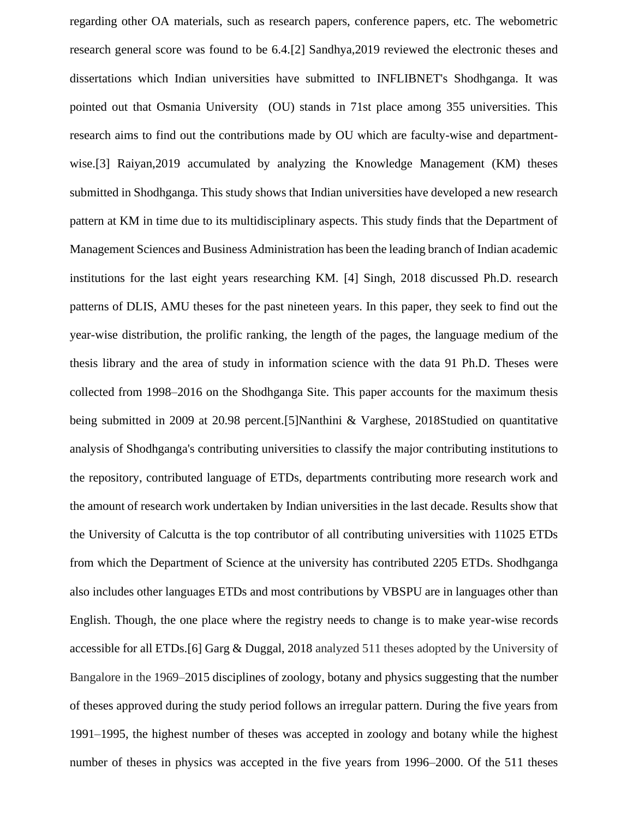regarding other OA materials, such as research papers, conference papers, etc. The webometric research general score was found to be 6.4.[2] Sandhya,2019 reviewed the electronic theses and dissertations which Indian universities have submitted to INFLIBNET's Shodhganga. It was pointed out that Osmania University (OU) stands in 71st place among 355 universities. This research aims to find out the contributions made by OU which are faculty-wise and departmentwise.[3] Raiyan, 2019 accumulated by analyzing the Knowledge Management (KM) theses submitted in Shodhganga. This study shows that Indian universities have developed a new research pattern at KM in time due to its multidisciplinary aspects. This study finds that the Department of Management Sciences and Business Administration has been the leading branch of Indian academic institutions for the last eight years researching KM. [4] Singh, 2018 discussed Ph.D. research patterns of DLIS, AMU theses for the past nineteen years. In this paper, they seek to find out the year-wise distribution, the prolific ranking, the length of the pages, the language medium of the thesis library and the area of study in information science with the data 91 Ph.D. Theses were collected from 1998–2016 on the Shodhganga Site. This paper accounts for the maximum thesis being submitted in 2009 at 20.98 percent.[5]Nanthini & Varghese, 2018Studied on quantitative analysis of Shodhganga's contributing universities to classify the major contributing institutions to the repository, contributed language of ETDs, departments contributing more research work and the amount of research work undertaken by Indian universities in the last decade. Results show that the University of Calcutta is the top contributor of all contributing universities with 11025 ETDs from which the Department of Science at the university has contributed 2205 ETDs. Shodhganga also includes other languages ETDs and most contributions by VBSPU are in languages other than English. Though, the one place where the registry needs to change is to make year-wise records accessible for all ETDs.[6] Garg & Duggal, 2018 analyzed 511 theses adopted by the University of Bangalore in the 1969–2015 disciplines of zoology, botany and physics suggesting that the number of theses approved during the study period follows an irregular pattern. During the five years from 1991–1995, the highest number of theses was accepted in zoology and botany while the highest number of theses in physics was accepted in the five years from 1996–2000. Of the 511 theses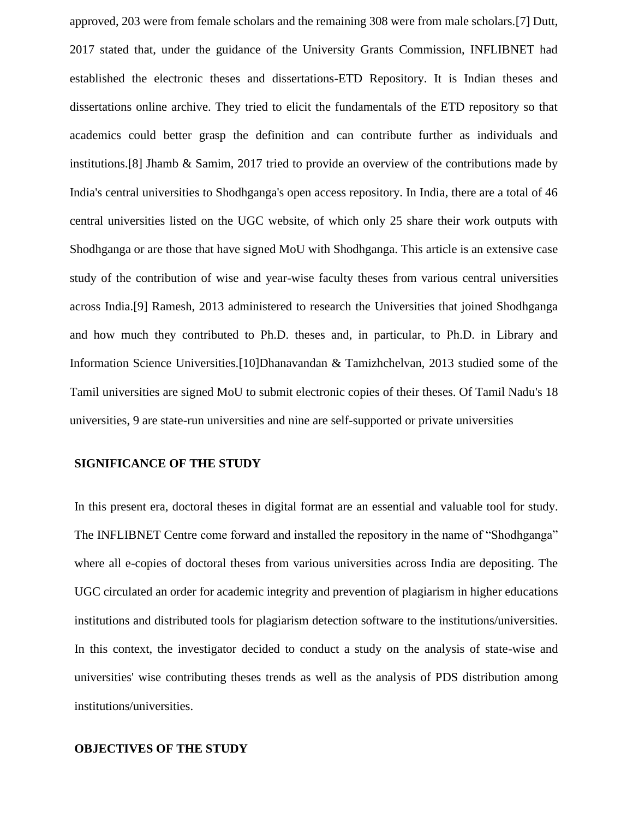approved, 203 were from female scholars and the remaining 308 were from male scholars.[7] Dutt, 2017 stated that, under the guidance of the University Grants Commission, INFLIBNET had established the electronic theses and dissertations-ETD Repository. It is Indian theses and dissertations online archive. They tried to elicit the fundamentals of the ETD repository so that academics could better grasp the definition and can contribute further as individuals and institutions.[8] Jhamb & Samim, 2017 tried to provide an overview of the contributions made by India's central universities to Shodhganga's open access repository. In India, there are a total of 46 central universities listed on the UGC website, of which only 25 share their work outputs with Shodhganga or are those that have signed MoU with Shodhganga. This article is an extensive case study of the contribution of wise and year-wise faculty theses from various central universities across India.[9] Ramesh, 2013 administered to research the Universities that joined Shodhganga and how much they contributed to Ph.D. theses and, in particular, to Ph.D. in Library and Information Science Universities.[10]Dhanavandan & Tamizhchelvan, 2013 studied some of the Tamil universities are signed MoU to submit electronic copies of their theses. Of Tamil Nadu's 18 universities, 9 are state-run universities and nine are self-supported or private universities

#### **SIGNIFICANCE OF THE STUDY**

In this present era, doctoral theses in digital format are an essential and valuable tool for study. The INFLIBNET Centre come forward and installed the repository in the name of "Shodhganga" where all e-copies of doctoral theses from various universities across India are depositing. The UGC circulated an order for academic integrity and prevention of plagiarism in higher educations institutions and distributed tools for plagiarism detection software to the institutions/universities. In this context, the investigator decided to conduct a study on the analysis of state-wise and universities' wise contributing theses trends as well as the analysis of PDS distribution among institutions/universities.

### **OBJECTIVES OF THE STUDY**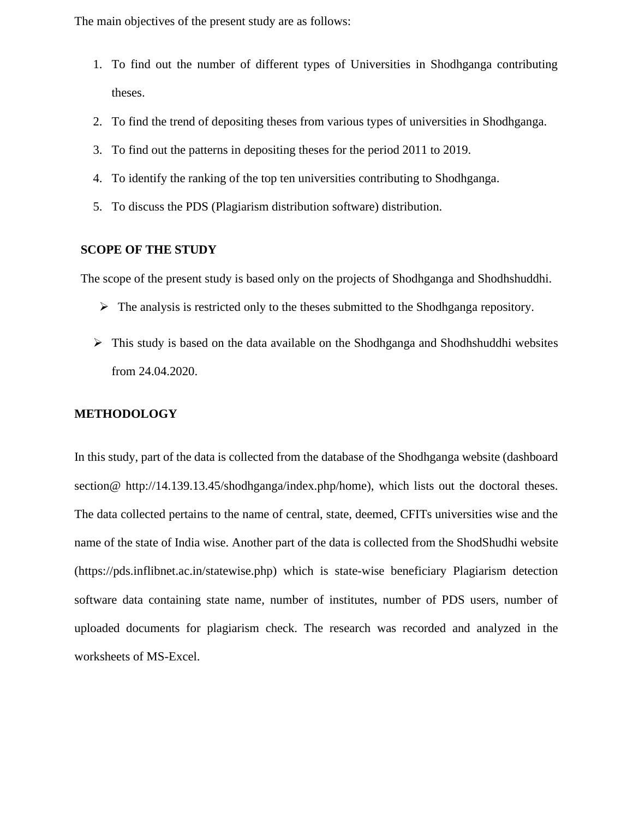The main objectives of the present study are as follows:

- 1. To find out the number of different types of Universities in Shodhganga contributing theses.
- 2. To find the trend of depositing theses from various types of universities in Shodhganga.
- 3. To find out the patterns in depositing theses for the period 2011 to 2019.
- 4. To identify the ranking of the top ten universities contributing to Shodhganga.
- 5. To discuss the PDS (Plagiarism distribution software) distribution.

## **SCOPE OF THE STUDY**

The scope of the present study is based only on the projects of Shodhganga and Shodhshuddhi.

- ➢ The analysis is restricted only to the theses submitted to the Shodhganga repository.
- ➢ This study is based on the data available on the Shodhganga and Shodhshuddhi websites from 24.04.2020.

## **METHODOLOGY**

In this study, part of the data is collected from the database of the Shodhganga website (dashboard section@ http://14.139.13.45/shodhganga/index.php/home), which lists out the doctoral theses. The data collected pertains to the name of central, state, deemed, CFITs universities wise and the name of the state of India wise. Another part of the data is collected from the ShodShudhi website (https://pds.inflibnet.ac.in/statewise.php) which is state-wise beneficiary Plagiarism detection software data containing state name, number of institutes, number of PDS users, number of uploaded documents for plagiarism check. The research was recorded and analyzed in the worksheets of MS-Excel.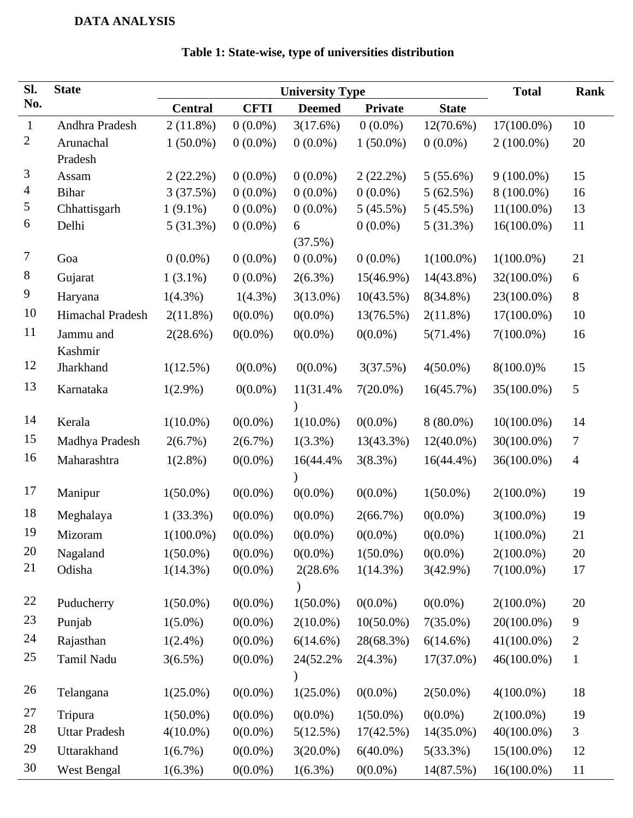# **DATA ANALYSIS**

| SI.            | <b>State</b>         |                | <b>Total</b>                                            | Rank        |              |              |               |                |
|----------------|----------------------|----------------|---------------------------------------------------------|-------------|--------------|--------------|---------------|----------------|
| No.            |                      | <b>Central</b> | <b>State</b><br><b>CFTI</b><br><b>Deemed</b><br>Private |             |              |              |               |                |
| $\mathbf{1}$   | Andhra Pradesh       | $2(11.8\%)$    | $0(0.0\%)$                                              | 3(17.6%)    | $0(0.0\%)$   | $12(70.6\%)$ | $17(100.0\%)$ | 10             |
| $\overline{2}$ | Arunachal            | $1(50.0\%)$    | $0(0.0\%)$                                              | $0(0.0\%)$  | $1(50.0\%)$  | $0(0.0\%)$   | $2(100.0\%)$  | 20             |
|                | Pradesh              |                |                                                         |             |              |              |               |                |
| 3              | Assam                | $2(22.2\%)$    | $0(0.0\%)$                                              | $0(0.0\%)$  | $2(22.2\%)$  | $5(55.6\%)$  | $9(100.0\%)$  | 15             |
| $\overline{4}$ | <b>Bihar</b>         | 3(37.5%)       | $0(0.0\%)$                                              | $0(0.0\%)$  | $0(0.0\%)$   | 5(62.5%)     | 8 (100.0%)    | 16             |
| 5              | Chhattisgarh         | $1(9.1\%)$     | $0(0.0\%)$                                              | $0(0.0\%)$  | 5(45.5%)     | 5(45.5%)     | $11(100.0\%)$ | 13             |
| 6              | Delhi                | 5(31.3%)       | $0(0.0\%)$                                              | 6           | $0(0.0\%)$   | 5(31.3%)     | $16(100.0\%)$ | 11             |
|                |                      |                |                                                         | (37.5%)     |              |              |               |                |
| $\overline{7}$ | Goa                  | $0(0.0\%)$     | $0(0.0\%)$                                              | $0(0.0\%)$  | $0(0.0\%)$   | $1(100.0\%)$ | $1(100.0\%)$  | 21             |
| 8              | Gujarat              | $1(3.1\%)$     | $0(0.0\%)$                                              | $2(6.3\%)$  | 15(46.9%)    | $14(43.8\%)$ | 32(100.0%)    | 6              |
| 9              | Haryana              | $1(4.3\%)$     | $1(4.3\%)$                                              | $3(13.0\%)$ | 10(43.5%)    | $8(34.8\%)$  | 23(100.0%)    | 8              |
| 10             | Himachal Pradesh     | $2(11.8\%)$    | $0(0.0\%)$                                              | $0(0.0\%)$  | 13(76.5%)    | $2(11.8\%)$  | $17(100.0\%)$ | 10             |
| 11             | Jammu and<br>Kashmir | 2(28.6%)       | $0(0.0\%)$                                              | $0(0.0\%)$  | $0(0.0\%)$   | $5(71.4\%)$  | $7(100.0\%)$  | 16             |
| 12             | Jharkhand            | $1(12.5\%)$    | $0(0.0\%)$                                              | $0(0.0\%)$  | 3(37.5%)     | $4(50.0\%)$  | 8(100.0)%     | 15             |
| 13             | Karnataka            | $1(2.9\%)$     | $0(0.0\%)$                                              | 11(31.4%    | $7(20.0\%)$  | 16(45.7%)    | 35(100.0%)    | 5              |
| 14             | Kerala               | $1(10.0\%)$    | $0(0.0\%)$                                              | $1(10.0\%)$ | $0(0.0\%)$   | $8(80.0\%)$  | $10(100.0\%)$ | 14             |
| 15             | Madhya Pradesh       | 2(6.7%)        | $2(6.7\%)$                                              | $1(3.3\%)$  | 13(43.3%)    | $12(40.0\%)$ | 30(100.0%)    | $\tau$         |
| 16             | Maharashtra          | $1(2.8\%)$     | $0(0.0\%)$                                              | 16(44.4%)   | 3(8.3%)      | $16(44.4\%)$ | 36(100.0%)    | $\overline{4}$ |
|                |                      |                |                                                         |             |              |              |               |                |
| 17             | Manipur              | $1(50.0\%)$    | $0(0.0\%)$                                              | $0(0.0\%)$  | $0(0.0\%)$   | $1(50.0\%)$  | $2(100.0\%)$  | 19             |
| 18             | Meghalaya            | $1(33.3\%)$    | $0(0.0\%)$                                              | $0(0.0\%)$  | 2(66.7%)     | $0(0.0\%)$   | $3(100.0\%)$  | 19             |
| 19             | Mizoram              | $1(100.0\%)$   | $0(0.0\%)$                                              | $0(0.0\%)$  | $0(0.0\%)$   | $0(0.0\%)$   | $1(100.0\%)$  | 21             |
| 20             | Nagaland             | $1(50.0\%)$    | $0(0.0\%)$                                              | $0(0.0\%)$  | $1(50.0\%)$  | $0(0.0\%)$   | $2(100.0\%)$  | 20             |
| 21             | Odisha               | $1(14.3\%)$    | $0(0.0\%)$                                              | 2(28.6%)    | $1(14.3\%)$  | 3(42.9%)     | $7(100.0\%)$  | 17             |
| 22             | Puducherry           | $1(50.0\%)$    | $0(0.0\%)$                                              | $1(50.0\%)$ | $0(0.0\%)$   | $0(0.0\%)$   | $2(100.0\%)$  | 20             |
| 23             | Punjab               | $1(5.0\%)$     | $0(0.0\%)$                                              | $2(10.0\%)$ | $10(50.0\%)$ | $7(35.0\%)$  | 20(100.0%)    | 9              |
| 24             | Rajasthan            | $1(2.4\%)$     | $0(0.0\%)$                                              | $6(14.6\%)$ | 28(68.3%)    | $6(14.6\%)$  | $41(100.0\%)$ | $\overline{2}$ |
| 25             | Tamil Nadu           | $3(6.5\%)$     | $0(0.0\%)$                                              | 24(52.2%)   | $2(4.3\%)$   | 17(37.0%)    | 46(100.0%)    | $\mathbf{1}$   |
| 26             | Telangana            | $1(25.0\%)$    | $0(0.0\%)$                                              | $1(25.0\%)$ | $0(0.0\%)$   | $2(50.0\%)$  | $4(100.0\%)$  | 18             |
| 27             | Tripura              | $1(50.0\%)$    | $0(0.0\%)$                                              | $0(0.0\%)$  | $1(50.0\%)$  | $0(0.0\%)$   | $2(100.0\%)$  | 19             |
| 28             | <b>Uttar Pradesh</b> | $4(10.0\%)$    | $0(0.0\%)$                                              | 5(12.5%)    | 17(42.5%)    | 14(35.0%)    | 40(100.0%)    | 3              |
| 29             | Uttarakhand          | $1(6.7\%)$     | $0(0.0\%)$                                              | $3(20.0\%)$ | $6(40.0\%)$  | 5(33.3%)     | $15(100.0\%)$ | 12             |
| 30             | West Bengal          | $1(6.3\%)$     | $0(0.0\%)$                                              | $1(6.3\%)$  | $0(0.0\%)$   | 14(87.5%)    | $16(100.0\%)$ | 11             |

# **Table 1: State-wise, type of universities distribution**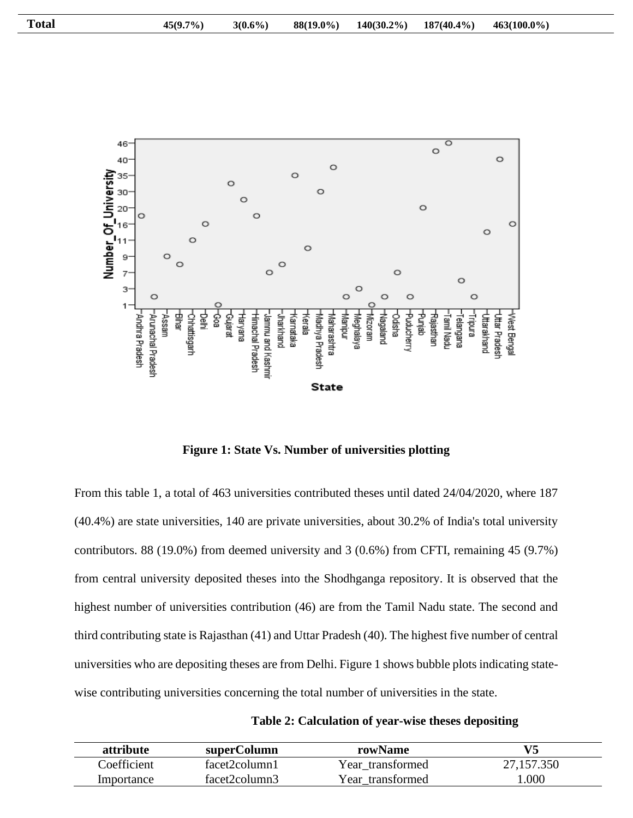

**Figure 1: State Vs. Number of universities plotting**

From this table 1, a total of 463 universities contributed theses until dated 24/04/2020, where 187 (40.4%) are state universities, 140 are private universities, about 30.2% of India's total university contributors. 88 (19.0%) from deemed university and 3 (0.6%) from CFTI, remaining 45 (9.7%) from central university deposited theses into the Shodhganga repository. It is observed that the highest number of universities contribution (46) are from the Tamil Nadu state. The second and third contributing state is Rajasthan (41) and Uttar Pradesh (40). The highest five number of central universities who are depositing theses are from Delhi. Figure 1 shows bubble plots indicating statewise contributing universities concerning the total number of universities in the state.

| Table 2: Calculation of year-wise theses depositing |  |
|-----------------------------------------------------|--|
|-----------------------------------------------------|--|

| attribute   | superColumn   | rowName          |            |
|-------------|---------------|------------------|------------|
| Coefficient | facet2column1 | Year transformed | 27,157.350 |
| Importance  | facet2column3 | Year transformed | 0.000      |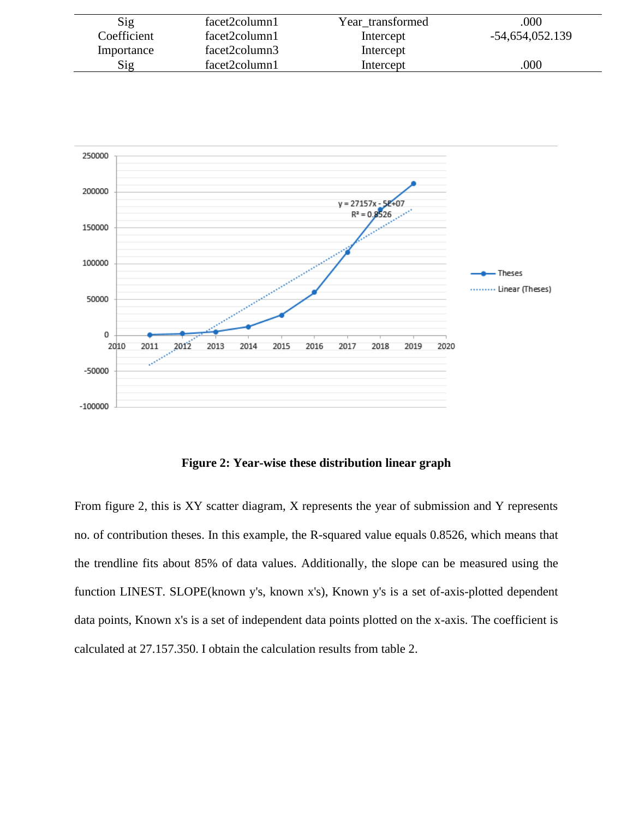| Sig         | facet2column1 | Year transformed | .000            |
|-------------|---------------|------------------|-----------------|
| Coefficient | facet2column1 | Intercept        | -54,654,052.139 |
| Importance  | facet2column3 | Intercept        |                 |
| Sig         | facet2column1 | Intercept        | .000            |



**Figure 2: Year-wise these distribution linear graph**

From figure 2, this is XY scatter diagram, X represents the year of submission and Y represents no. of contribution theses. In this example, the R-squared value equals 0.8526, which means that the trendline fits about 85% of data values. Additionally, the slope can be measured using the function LINEST. SLOPE(known y's, known x's), Known y's is a set of-axis-plotted dependent data points, Known x's is a set of independent data points plotted on the x-axis. The coefficient is calculated at 27.157.350. I obtain the calculation results from table 2.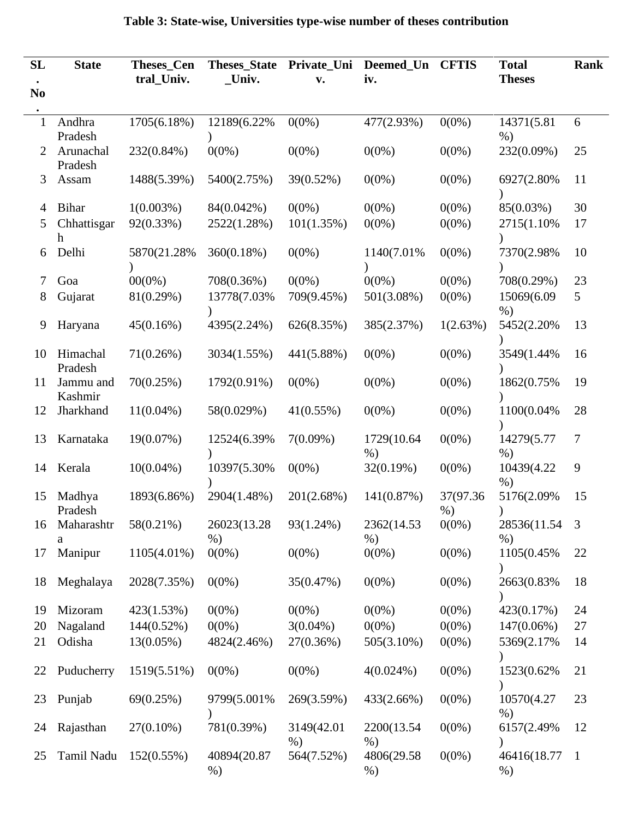| SL             | <b>State</b>         | <b>Theses_Cen</b> | <b>Theses_State</b>   | Private_Uni         | Deemed Un            | <b>CFTIS</b>       | <b>Total</b>         | Rank           |
|----------------|----------------------|-------------------|-----------------------|---------------------|----------------------|--------------------|----------------------|----------------|
|                |                      | tral_Univ.        | $\_$ Univ.            | v.                  | iv.                  |                    | <b>Theses</b>        |                |
| N <sub>0</sub> |                      |                   |                       |                     |                      |                    |                      |                |
| 1              | Andhra<br>Pradesh    | 1705(6.18%)       | 12189(6.22%)          | $0(0\%)$            | 477(2.93%)           | $0(0\%)$           | 14371(5.81)<br>$%$ ) | 6              |
| $\overline{2}$ | Arunachal<br>Pradesh | 232(0.84%)        | $0(0\%)$              | $0(0\%)$            | $0(0\%)$             | $0(0\%)$           | 232(0.09%)           | 25             |
| 3              | Assam                | 1488(5.39%)       | 5400(2.75%)           | 39(0.52%)           | $0(0\%)$             | $0(0\%)$           | 6927(2.80%           | 11             |
| 4              | <b>Bihar</b>         | $1(0.003\%)$      | 84(0.042%)            | $0(0\%)$            | $0(0\%)$             | $0(0\%)$           | 85(0.03%)            | 30             |
| 5              | Chhattisgar<br>h     | 92(0.33%)         | 2522(1.28%)           | 101(1.35%)          | $0(0\%)$             | $0(0\%)$           | 2715(1.10%)          | 17             |
| 6              | Delhi                | 5870(21.28%)      | 360(0.18%)            | $0(0\%)$            | 1140(7.01%)          | $0(0\%)$           | 7370(2.98%           | 10             |
| 7              | Goa                  | $00(0\%)$         | 708(0.36%)            | $0(0\%)$            | $0(0\%)$             | $0(0\%)$           | 708(0.29%)           | 23             |
| 8              | Gujarat              | 81(0.29%)         | 13778(7.03%)          | 709(9.45%)          | 501(3.08%)           | $0(0\%)$           | 15069(6.09<br>$%$ )  | 5              |
| 9              | Haryana              | 45(0.16%)         | 4395(2.24%)           | 626(8.35%)          | 385(2.37%)           | 1(2.63%)           | 5452(2.20%)          | 13             |
| 10             | Himachal<br>Pradesh  | 71(0.26%)         | 3034(1.55%)           | 441(5.88%)          | $0(0\%)$             | $0(0\%)$           | 3549(1.44%)          | 16             |
| 11             | Jammu and<br>Kashmir | 70(0.25%)         | 1792(0.91%)           | $0(0\%)$            | $0(0\%)$             | $0(0\%)$           | 1862(0.75%           | 19             |
| 12             | Jharkhand            | $11(0.04\%)$      | 58(0.029%)            | 41(0.55%)           | $0(0\%)$             | $0(0\%)$           | 1100(0.04%           | 28             |
| 13             | Karnataka            | 19(0.07%)         | 12524(6.39%)          | $7(0.09\%)$         | 1729(10.64)<br>$%$ ) | $0(0\%)$           | 14279(5.77<br>$%$ )  | $\overline{7}$ |
| 14             | Kerala               | $10(0.04\%)$      | 10397(5.30%)          | $0(0\%)$            | 32(0.19%)            | $0(0\%)$           | 10439(4.22<br>$%$ )  | 9              |
| 15             | Madhya<br>Pradesh    | 1893(6.86%)       | 2904(1.48%)           | 201(2.68%)          | 141(0.87%)           | 37(97.36)<br>$%$ ) | 5176(2.09%           | 15             |
| 16             | Maharashtr<br>a      | 58(0.21%)         | 26023(13.28)<br>$%$ ) | 93(1.24%)           | 2362(14.53<br>$%$ )  | $0(0\%)$           | 28536(11.54<br>$%$ ) | 3              |
| 17             | Manipur              | 1105(4.01%)       | $0(0\%)$              | $0(0\%)$            | $0(0\%)$             | $0(0\%)$           | 1105(0.45%)          | 22             |
| 18             | Meghalaya            | 2028(7.35%)       | $0(0\%)$              | 35(0.47%)           | $0(0\%)$             | $0(0\%)$           | 2663(0.83%           | 18             |
| 19             | Mizoram              | 423(1.53%)        | $0(0\%)$              | $0(0\%)$            | $0(0\%)$             | $0(0\%)$           | 423(0.17%)           | 24             |
| 20             | Nagaland             | $144(0.52\%)$     | $0(0\%)$              | $3(0.04\%)$         | $0(0\%)$             | $0(0\%)$           | 147(0.06%)           | 27             |
| 21             | Odisha               | 13(0.05%)         | 4824(2.46%)           | 27(0.36%)           | $505(3.10\%)$        | $0(0\%)$           | 5369(2.17%)          | 14             |
| 22             | Puducherry           | 1519(5.51%)       | $0(0\%)$              | $0(0\%)$            | $4(0.024\%)$         | $0(0\%)$           | 1523(0.62%           | 21             |
| 23             | Punjab               | 69(0.25%)         | 9799(5.001%)          | 269(3.59%)          | 433(2.66%)           | $0(0\%)$           | 10570(4.27<br>$%$ )  | 23             |
| 24             | Rajasthan            | $27(0.10\%)$      | 781(0.39%)            | 3149(42.01<br>$%$ ) | 2200(13.54<br>$%$ )  | $0(0\%)$           | 6157(2.49%)          | 12             |
| 25             | Tamil Nadu           | 152(0.55%)        | 40894(20.87<br>$%$ )  | 564(7.52%)          | 4806(29.58<br>$%$ )  | $0(0\%)$           | 46416(18.77<br>$%$ ) | $\mathbf{1}$   |

# **Table 3: State-wise, Universities type-wise number of theses contribution**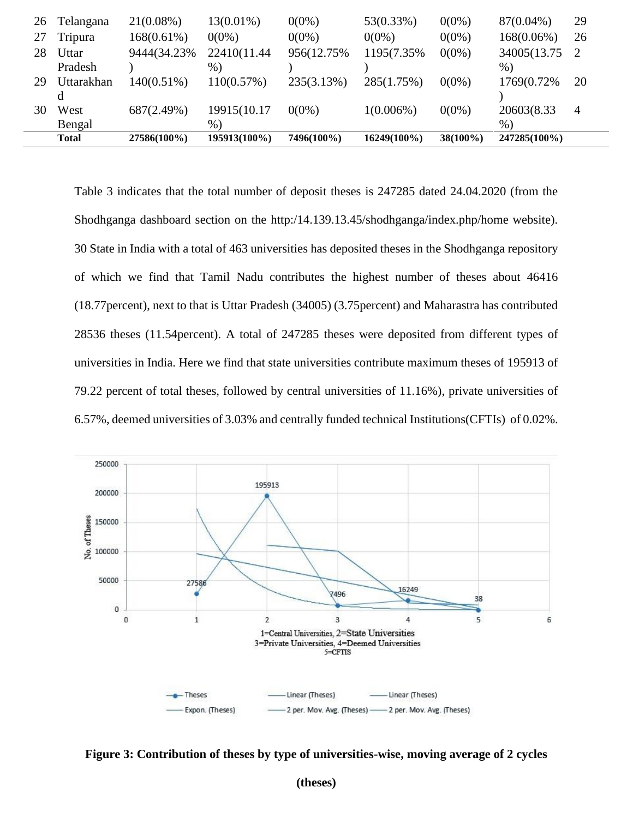| 26 | Telangana    | $21(0.08\%)$  | $13(0.01\%)$ | $0(0\%)$    | 53(0.33%)    | $0(0\%)$    | 87(0.04%)     | 29             |
|----|--------------|---------------|--------------|-------------|--------------|-------------|---------------|----------------|
|    | Tripura      | $168(0.61\%)$ | $0(0\%)$     | $0(0\%)$    | $0(0\%)$     | $0(0\%)$    | $168(0.06\%)$ | 26             |
| 28 | Uttar        | 9444(34.23%)  | 22410(11.44  | 956(12.75%) | 1195(7.35%)  | $0(0\%)$    | 34005(13.75)  |                |
|    | Pradesh      |               | $\%$         |             |              |             | $%$ )         |                |
| 29 | Uttarakhan   | 140(0.51%)    | 110(0.57%)   | 235(3.13%)  | 285(1.75%)   | $0(0\%)$    | 1769(0.72%)   | 20             |
|    | d            |               |              |             |              |             |               |                |
| 30 | West         | 687(2.49%)    | 19915(10.17  | $0(0\%)$    | $1(0.006\%)$ | $0(0\%)$    | 20603(8.33    | $\overline{4}$ |
|    | Bengal       |               | $%$ )        |             |              |             | $\%$ )        |                |
|    | <b>Total</b> | 27586(100%)   | 195913(100%) | 7496(100%)  | 16249(100%)  | $38(100\%)$ | 247285(100%)  |                |
|    |              |               |              |             |              |             |               |                |

Table 3 indicates that the total number of deposit theses is 247285 dated 24.04.2020 (from the Shodhganga dashboard section on the http:/14.139.13.45/shodhganga/index.php/home website). 30 State in India with a total of 463 universities has deposited theses in the Shodhganga repository of which we find that Tamil Nadu contributes the highest number of theses about 46416 (18.77percent), next to that is Uttar Pradesh (34005) (3.75percent) and Maharastra has contributed 28536 theses (11.54percent). A total of 247285 theses were deposited from different types of universities in India. Here we find that state universities contribute maximum theses of 195913 of 79.22 percent of total theses, followed by central universities of 11.16%), private universities of 6.57%, deemed universities of 3.03% and centrally funded technical Institutions(CFTIs) of 0.02%.



**Figure 3: Contribution of theses by type of universities-wise, moving average of 2 cycles**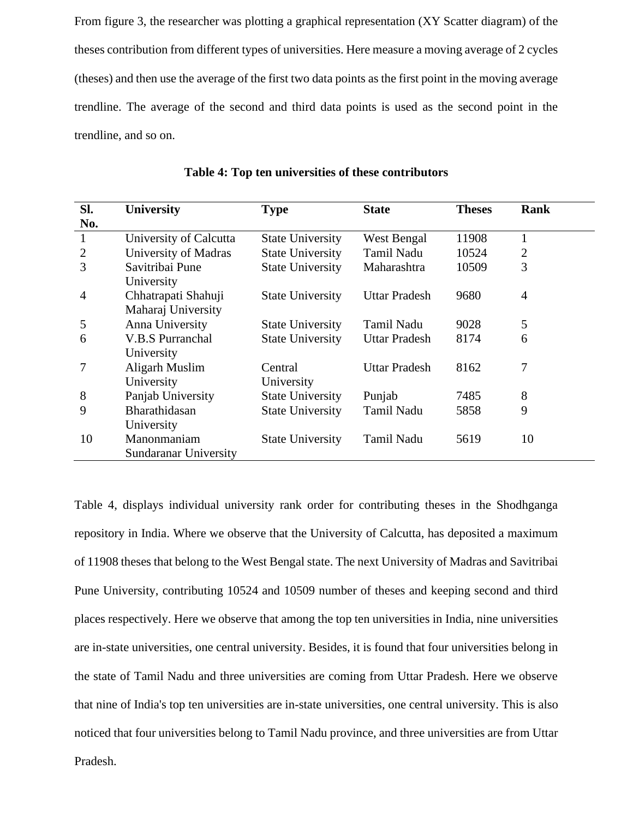From figure 3, the researcher was plotting a graphical representation (XY Scatter diagram) of the theses contribution from different types of universities. Here measure a moving average of 2 cycles (theses) and then use the average of the first two data points as the first point in the moving average trendline. The average of the second and third data points is used as the second point in the trendline, and so on.

| Sl.            | <b>University</b>       | <b>Type</b>             | <b>State</b>         | <b>Theses</b> | Rank           |
|----------------|-------------------------|-------------------------|----------------------|---------------|----------------|
| No.            |                         |                         |                      |               |                |
| 1              | University of Calcutta  | <b>State University</b> | West Bengal          | 11908         |                |
| $\overline{2}$ | University of Madras    | <b>State University</b> | <b>Tamil Nadu</b>    | 10524         | $\overline{2}$ |
| 3              | Savitribai Pune         | <b>State University</b> | Maharashtra          | 10509         | 3              |
|                | University              |                         |                      |               |                |
| $\overline{4}$ | Chhatrapati Shahuji     | <b>State University</b> | <b>Uttar Pradesh</b> | 9680          | $\overline{4}$ |
|                | Maharaj University      |                         |                      |               |                |
| 5              | Anna University         | <b>State University</b> | <b>Tamil Nadu</b>    | 9028          | 5              |
| 6              | <b>V.B.S Purranchal</b> | <b>State University</b> | <b>Uttar Pradesh</b> | 8174          | 6              |
|                | University              |                         |                      |               |                |
| 7              | Aligarh Muslim          | Central                 | Uttar Pradesh        | 8162          | 7              |
|                | University              | University              |                      |               |                |
| 8              | Panjab University       | <b>State University</b> | Punjab               | 7485          | 8              |
| 9              | Bharathidasan           | <b>State University</b> | Tamil Nadu           | 5858          | 9              |
|                | University              |                         |                      |               |                |
| 10             | Manonmaniam             | <b>State University</b> | <b>Tamil Nadu</b>    | 5619          | 10             |
|                | Sundaranar University   |                         |                      |               |                |

**Table 4: Top ten universities of these contributors**

Table 4, displays individual university rank order for contributing theses in the Shodhganga repository in India. Where we observe that the University of Calcutta, has deposited a maximum of 11908 theses that belong to the West Bengal state. The next University of Madras and Savitribai Pune University, contributing 10524 and 10509 number of theses and keeping second and third places respectively. Here we observe that among the top ten universities in India, nine universities are in-state universities, one central university. Besides, it is found that four universities belong in the state of Tamil Nadu and three universities are coming from Uttar Pradesh. Here we observe that nine of India's top ten universities are in-state universities, one central university. This is also noticed that four universities belong to Tamil Nadu province, and three universities are from Uttar

Pradesh.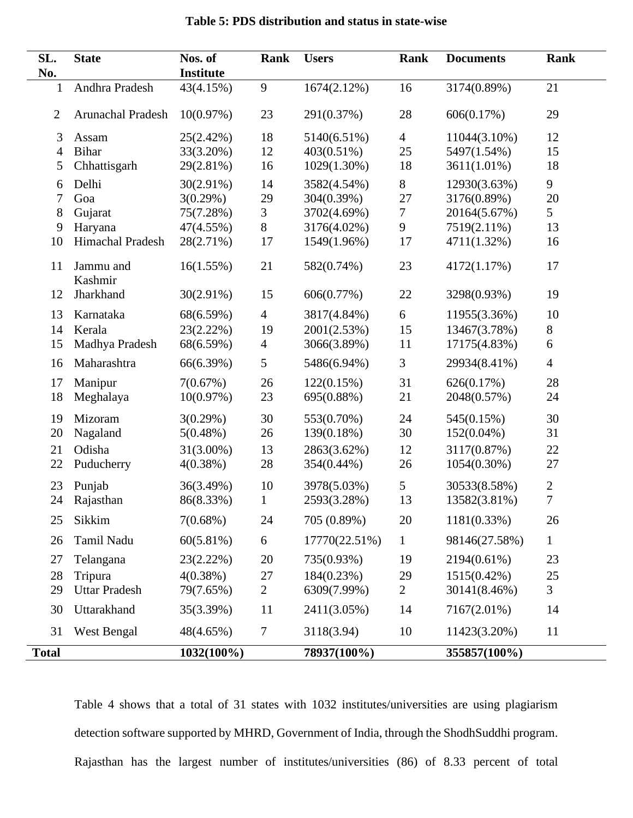| SL.<br>No.     | <b>State</b>         | Nos. of<br><b>Institute</b> | Rank             | <b>Users</b>  | Rank           | <b>Documents</b> | Rank           |
|----------------|----------------------|-----------------------------|------------------|---------------|----------------|------------------|----------------|
| 1              | Andhra Pradesh       | 43(4.15%)                   | 9                | 1674(2.12%)   | 16             | 3174(0.89%)      | 21             |
| $\overline{2}$ | Arunachal Pradesh    | 10(0.97%)                   | 23               | 291(0.37%)    | 28             | 606(0.17%)       | 29             |
| 3              | Assam                | 25(2.42%)                   | 18               | 5140(6.51%)   | $\overline{4}$ | 11044(3.10%)     | 12             |
| $\overline{4}$ | Bihar                | 33(3.20%)                   | 12               | 403(0.51%)    | 25             | 5497(1.54%)      | 15             |
| 5              | Chhattisgarh         | 29(2.81%)                   | 16               | 1029(1.30%)   | 18             | 3611(1.01%)      | 18             |
| 6              | Delhi                | $30(2.91\%)$                | 14               | 3582(4.54%)   | 8              | 12930(3.63%)     | 9              |
| 7              | Goa                  | 3(0.29%)                    | 29               | 304(0.39%)    | 27             | 3176(0.89%)      | 20             |
| 8              | Gujarat              | 75(7.28%)                   | 3                | 3702(4.69%)   | 7              | 20164(5.67%)     | 5              |
| 9              | Haryana              | 47(4.55%)                   | $8\,$            | 3176(4.02%)   | 9              | 7519(2.11%)      | 13             |
| 10             | Himachal Pradesh     | 28(2.71%)                   | 17               | 1549(1.96%)   | 17             | 4711(1.32%)      | 16             |
| 11             | Jammu and<br>Kashmir | 16(1.55%)                   | 21               | 582(0.74%)    | 23             | 4172(1.17%)      | 17             |
| 12             | Jharkhand            | $30(2.91\%)$                | 15               | 606(0.77%)    | 22             | 3298(0.93%)      | 19             |
| 13             | Karnataka            | 68(6.59%)                   | $\overline{4}$   | 3817(4.84%)   | 6              | 11955(3.36%)     | 10             |
| 14             | Kerala               | 23(2.22%)                   | 19               | 2001(2.53%)   | 15             | 13467(3.78%)     | $8\,$          |
| 15             | Madhya Pradesh       | 68(6.59%)                   | $\overline{4}$   | 3066(3.89%)   | 11             | 17175(4.83%)     | 6              |
| 16             | Maharashtra          | 66(6.39%)                   | 5                | 5486(6.94%)   | 3              | 29934(8.41%)     | $\overline{4}$ |
| 17             | Manipur              | 7(0.67%)                    | 26               | 122(0.15%)    | 31             | 626(0.17%)       | 28             |
| 18             | Meghalaya            | 10(0.97%)                   | 23               | 695(0.88%)    | 21             | 2048(0.57%)      | 24             |
| 19             | Mizoram              | 3(0.29%)                    | 30               | 553(0.70%)    | 24             | 545(0.15%)       | 30             |
| 20             | Nagaland             | $5(0.48\%)$                 | 26               | 139(0.18%)    | 30             | $152(0.04\%)$    | 31             |
| 21             | Odisha               | $31(3.00\%)$                | 13               | 2863(3.62%)   | 12             | 3117(0.87%)      | 22             |
| 22             | Puducherry           | 4(0.38%)                    | 28               | 354(0.44%)    | 26             | 1054(0.30%)      | 27             |
| 23             | Punjab               | 36(3.49%)                   | 10               | 3978(5.03%)   | 5              | 30533(8.58%)     | $\sqrt{2}$     |
| 24             | Rajasthan            | 86(8.33%)                   | $\mathbf{1}$     | 2593(3.28%)   | 13             | 13582(3.81%)     | $\overline{7}$ |
| 25             | Sikkim               | $7(0.68\%)$                 | 24               | 705 (0.89%)   | 20             | 1181(0.33%)      | 26             |
| 26             | Tamil Nadu           | 60(5.81%)                   | $\boldsymbol{6}$ | 17770(22.51%) | $\mathbf{1}$   | 98146(27.58%)    | $\mathbf{1}$   |
| 27             | Telangana            | 23(2.22%)                   | 20               | 735(0.93%)    | 19             | 2194(0.61%)      | 23             |
| 28             | Tripura              | $4(0.38\%)$                 | 27               | 184(0.23%)    | 29             | 1515(0.42%)      | 25             |
| 29             | <b>Uttar Pradesh</b> | 79(7.65%)                   | $\overline{2}$   | 6309(7.99%)   | $\overline{2}$ | 30141(8.46%)     | 3              |
| 30             | Uttarakhand          | 35(3.39%)                   | 11               | 2411(3.05%)   | 14             | 7167(2.01%)      | 14             |
| 31             | West Bengal          | 48(4.65%)                   | $\boldsymbol{7}$ | 3118(3.94)    | 10             | 11423(3.20%)     | 11             |
| <b>Total</b>   |                      | 1032(100%)                  |                  | 78937(100%)   |                | 355857(100%)     |                |

# **Table 5: PDS distribution and status in state-wise**

Table 4 shows that a total of 31 states with 1032 institutes/universities are using plagiarism detection software supported by MHRD, Government of India, through the ShodhSuddhi program. Rajasthan has the largest number of institutes/universities (86) of 8.33 percent of total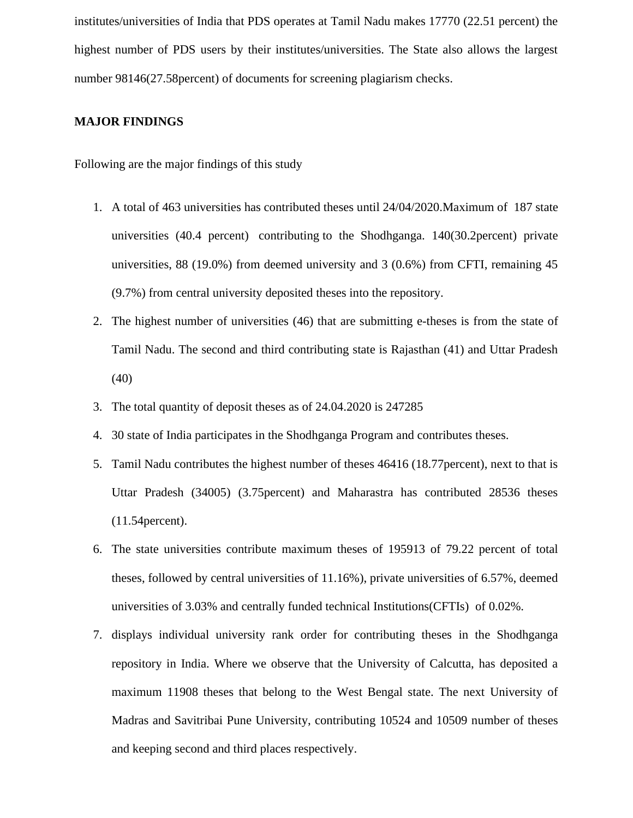institutes/universities of India that PDS operates at Tamil Nadu makes 17770 (22.51 percent) the highest number of PDS users by their institutes/universities. The State also allows the largest number 98146(27.58percent) of documents for screening plagiarism checks.

## **MAJOR FINDINGS**

Following are the major findings of this study

- 1. A total of 463 universities has contributed theses until 24/04/2020.Maximum of 187 state universities (40.4 percent) contributing to the Shodhganga. 140(30.2percent) private universities, 88 (19.0%) from deemed university and 3 (0.6%) from CFTI, remaining 45 (9.7%) from central university deposited theses into the repository.
- 2. The highest number of universities (46) that are submitting e-theses is from the state of Tamil Nadu. The second and third contributing state is Rajasthan (41) and Uttar Pradesh (40)
- 3. The total quantity of deposit theses as of 24.04.2020 is 247285
- 4. 30 state of India participates in the Shodhganga Program and contributes theses.
- 5. Tamil Nadu contributes the highest number of theses 46416 (18.77percent), next to that is Uttar Pradesh (34005) (3.75percent) and Maharastra has contributed 28536 theses (11.54percent).
- 6. The state universities contribute maximum theses of 195913 of 79.22 percent of total theses, followed by central universities of 11.16%), private universities of 6.57%, deemed universities of 3.03% and centrally funded technical Institutions(CFTIs) of 0.02%.
- 7. displays individual university rank order for contributing theses in the Shodhganga repository in India. Where we observe that the University of Calcutta, has deposited a maximum 11908 theses that belong to the West Bengal state. The next University of Madras and Savitribai Pune University, contributing 10524 and 10509 number of theses and keeping second and third places respectively.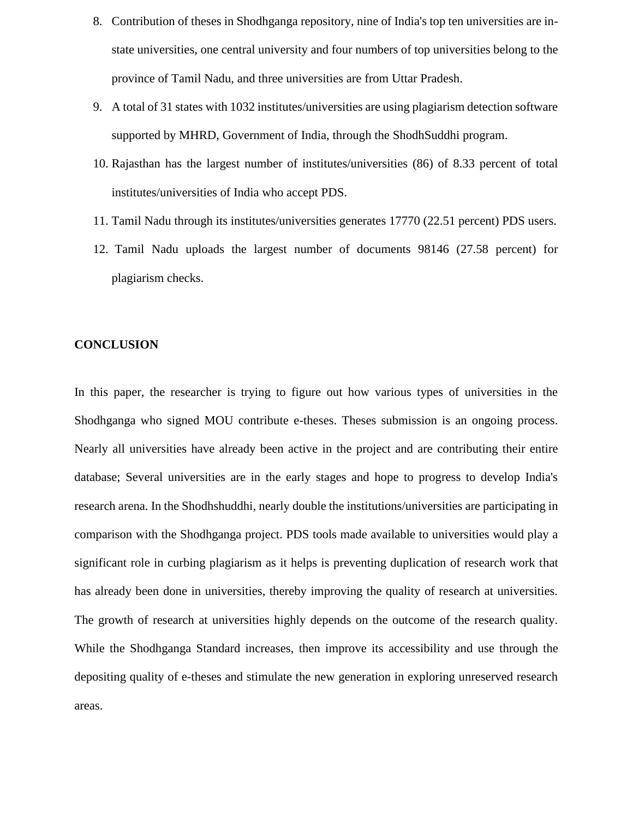- 8. Contribution of theses in Shodhganga repository, nine of India's top ten universities are instate universities, one central university and four numbers of top universities belong to the province of Tamil Nadu, and three universities are from Uttar Pradesh.
- 9. A total of 31 states with 1032 institutes/universities are using plagiarism detection software supported by MHRD, Government of India, through the ShodhSuddhi program.
- 10. Rajasthan has the largest number of institutes/universities (86) of 8.33 percent of total institutes/universities of India who accept PDS.
- 11. Tamil Nadu through its institutes/universities generates 17770 (22.51 percent) PDS users.
- 12. Tamil Nadu uploads the largest number of documents 98146 (27.58 percent) for plagiarism checks.

#### **CONCLUSION**

In this paper, the researcher is trying to figure out how various types of universities in the Shodhganga who signed MOU contribute e-theses. Theses submission is an ongoing process. Nearly all universities have already been active in the project and are contributing their entire database; Several universities are in the early stages and hope to progress to develop India's research arena. In the Shodhshuddhi, nearly double the institutions/universities are participating in comparison with the Shodhganga project. PDS tools made available to universities would play a significant role in curbing plagiarism as it helps is preventing duplication of research work that has already been done in universities, thereby improving the quality of research at universities. The growth of research at universities highly depends on the outcome of the research quality. While the Shodhganga Standard increases, then improve its accessibility and use through the depositing quality of e-theses and stimulate the new generation in exploring unreserved research areas.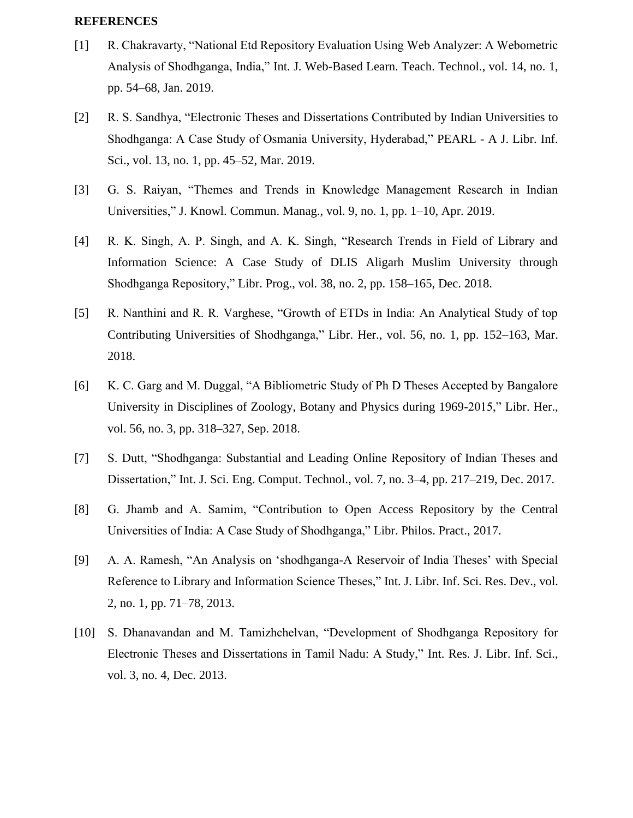#### **REFERENCES**

- [1] R. Chakravarty, "National Etd Repository Evaluation Using Web Analyzer: A Webometric Analysis of Shodhganga, India," Int. J. Web-Based Learn. Teach. Technol., vol. 14, no. 1, pp. 54–68, Jan. 2019.
- [2] R. S. Sandhya, "Electronic Theses and Dissertations Contributed by Indian Universities to Shodhganga: A Case Study of Osmania University, Hyderabad," PEARL - A J. Libr. Inf. Sci., vol. 13, no. 1, pp. 45–52, Mar. 2019.
- [3] G. S. Raiyan, "Themes and Trends in Knowledge Management Research in Indian Universities," J. Knowl. Commun. Manag., vol. 9, no. 1, pp. 1–10, Apr. 2019.
- [4] R. K. Singh, A. P. Singh, and A. K. Singh, "Research Trends in Field of Library and Information Science: A Case Study of DLIS Aligarh Muslim University through Shodhganga Repository," Libr. Prog., vol. 38, no. 2, pp. 158–165, Dec. 2018.
- [5] R. Nanthini and R. R. Varghese, "Growth of ETDs in India: An Analytical Study of top Contributing Universities of Shodhganga," Libr. Her., vol. 56, no. 1, pp. 152–163, Mar. 2018.
- [6] K. C. Garg and M. Duggal, "A Bibliometric Study of Ph D Theses Accepted by Bangalore University in Disciplines of Zoology, Botany and Physics during 1969-2015," Libr. Her., vol. 56, no. 3, pp. 318–327, Sep. 2018.
- [7] S. Dutt, "Shodhganga: Substantial and Leading Online Repository of Indian Theses and Dissertation," Int. J. Sci. Eng. Comput. Technol., vol. 7, no. 3–4, pp. 217–219, Dec. 2017.
- [8] G. Jhamb and A. Samim, "Contribution to Open Access Repository by the Central Universities of India: A Case Study of Shodhganga," Libr. Philos. Pract., 2017.
- [9] A. A. Ramesh, "An Analysis on 'shodhganga-A Reservoir of India Theses' with Special Reference to Library and Information Science Theses," Int. J. Libr. Inf. Sci. Res. Dev., vol. 2, no. 1, pp. 71–78, 2013.
- [10] S. Dhanavandan and M. Tamizhchelvan, "Development of Shodhganga Repository for Electronic Theses and Dissertations in Tamil Nadu: A Study," Int. Res. J. Libr. Inf. Sci., vol. 3, no. 4, Dec. 2013.